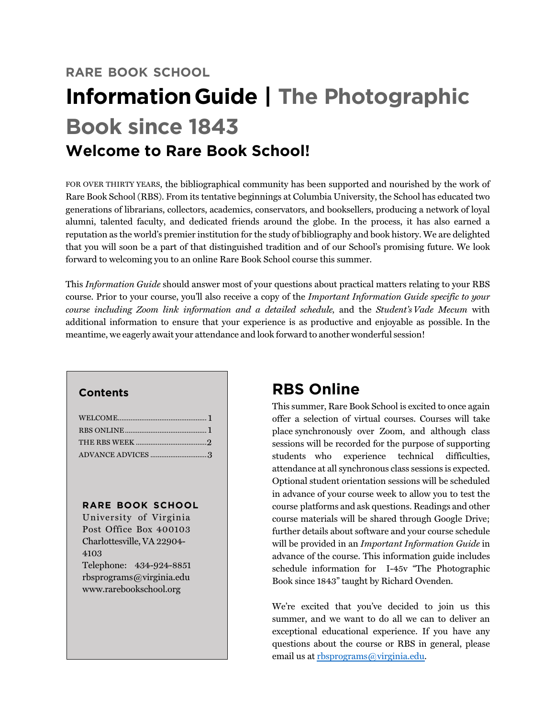# **RARE BOOK SCHOOL InformationGuide | The Photographic Book since 1843 Welcome to Rare Book School!**

FOR OVER THIRTY YEARS, the bibliographical community has been supported and nourished by the work of Rare Book School (RBS). From its tentative beginnings at Columbia University, the School has educated two generations of librarians, collectors, academics, conservators, and booksellers, producing a network of loyal alumni, talented faculty, and dedicated friends around the globe. In the process, it has also earned a reputation as the world's premier institution for the study of bibliography and book history. We are delighted that you will soon be a part of that distinguished tradition and of our School's promising future. We look forward to welcoming you to an online Rare Book School course this summer.

This *Information Guide* should answer most of your questions about practical matters relating to your RBS course. Prior to your course, you'll also receive a copy of the *Important Information Guide specific to your course including Zoom link information and a detailed schedule,* and the *Student's Vade Mecum* with additional information to ensure that your experience is as productive and enjoyable as possible. In the meantime, we eagerly await your attendance and look forward to another wonderful session!

### **Contents**

### **RARE BOOK SCHOOL**

University of Virginia Post Office Box 400103 Charlottesville, VA 22904- 4103 Telephone: 434-924-8851 rbsprograms@virginia.edu www.rarebookschool.org

# **RBS Online**

This summer, Rare Book School is excited to once again offer a selection of virtual courses. Courses will take place synchronously over Zoom, and although class sessions will be recorded for the purpose of supporting students who experience technical difficulties, attendance at all synchronous class sessions is expected. Optional student orientation sessions will be scheduled in advance of your course week to allow you to test the course platforms and ask questions. Readings and other course materials will be shared through Google Drive; further details about software and your course schedule will be provided in an *Important Information Guide* in advance of the course. This information guide includes schedule information for I-45v "The Photographic Book since 1843" taught by Richard Ovenden.

We're excited that you've decided to join us this summer, and we want to do all we can to deliver an exceptional educational experience. If you have any questions about the course or RBS in general, please email us at rbsprograms@virginia.edu.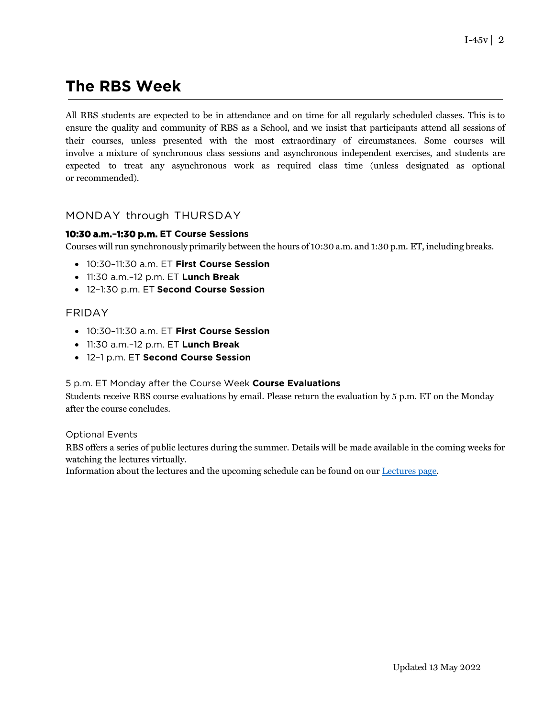# **The RBS Week**

All RBS students are expected to be in attendance and on time for all regularly scheduled classes. This is to ensure the quality and community of RBS as a School, and we insist that participants attend all sessions of their courses, unless presented with the most extraordinary of circumstances. Some courses will involve a mixture of synchronous class sessions and asynchronous independent exercises, and students are expected to treat any asynchronous work as required class time (unless designated as optional or recommended).

### MONDAY through THURSDAY

### **10:30 a.m.–1:30 p.m. ET Course Sessions**

Courses will run synchronously primarily between the hours of 10:30 a.m. and 1:30 p.m. ET, including breaks.

- 10:30–11:30 a.m. ET **First Course Session**
- 11:30 a.m.–12 p.m. ET **Lunch Break**
- 12–1:30 p.m. ET **Second Course Session**

### FRIDAY

- 10:30–11:30 a.m. ET **First Course Session**
- 11:30 a.m.–12 p.m. ET **Lunch Break**
- 12–1 p.m. ET **Second Course Session**

#### 5 p.m. ET Monday after the Course Week **Course Evaluations**

Students receive RBS course evaluations by email. Please return the evaluation by 5 p.m. ET on the Monday after the course concludes.

#### Optional Events

RBS offers a series of public lectures during the summer. Details will be made available in the coming weeks for watching the lectures virtually.

Information about the lectures and the upcoming schedule can be found on our [Lectures page.](https://rarebookschool.org/programs/lectures/)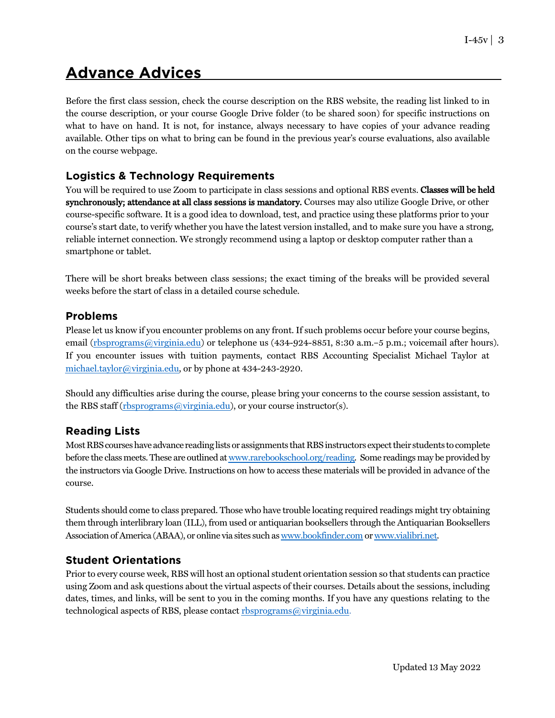# **Advance Advices**

Before the first class session, check the course description on the RBS website, the reading list linked to in the course description, or your course Google Drive folder (to be shared soon) for specific instructions on what to have on hand. It is not, for instance, always necessary to have copies of your advance reading available. Other tips on what to bring can be found in the previous year's course evaluations, also available on the course webpage.

## **Logistics & Technology Requirements**

You will be required to use Zoom to participate in class sessions and optional RBS events. Classes will be held synchronously; attendance at all class sessions is mandatory. Courses may also utilize Google Drive, or other course-specific software. It is a good idea to download, test, and practice using these platforms prior to your course's start date, to verify whether you have the latest version installed, and to make sure you have a strong, reliable internet connection. We strongly recommend using a laptop or desktop computer rather than a smartphone or tablet.

There will be short breaks between class sessions; the exact timing of the breaks will be provided several weeks before the start of class in a detailed course schedule.

### **Problems**

Please let us know if you encounter problems on any front. If such problems occur before your course begins, email (rbsprograms@virginia.edu) or telephone us (434-924-8851, 8:30 a.m.–5 p.m.; voicemail after hours). If you encounter issues with tuition payments, contact RBS Accounting Specialist Michael Taylor at michael.taylor@virginia.edu, or by phone at 434-243-2920.

Should any difficulties arise during the course, please bring your concerns to the course session assistant, to the RBS staff (rbsprograms@virginia.edu), or your course instructor(s).

### **Reading Lists**

MostRBScourseshave advance reading listsor assignments thatRBSinstructors expecttheir students tocomplete before the class meets.These are outlined at www.rarebookschool.org/reading. Some readings may be provided by the instructors via Google Drive. Instructions on how to access these materials will be provided in advance of the course.

Students should come to class prepared. Those who have trouble locating required readings might try obtaining them through interlibrary loan (ILL), from used or antiquarian booksellers through the Antiquarian Booksellers Association ofAmerica (ABAA), or online via sites such as www.bookfinder.com or www.vialibri.net.

### **Student Orientations**

Prior to every course week, RBS will host an optional student orientation session so that students can practice using Zoom and ask questions about the virtual aspects of their courses. Details about the sessions, including dates, times, and links, will be sent to you in the coming months. If you have any questions relating to the technological aspects of RBS, please contact rbsprograms@virginia.edu.